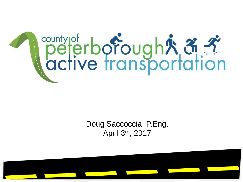

Doug Saccoccia, P.Eng. April 3rd, 2017

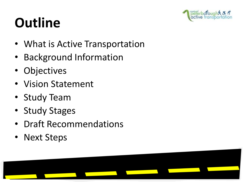

# **Outline**

- What is Active Transportation
- Background Information
- **Objectives**
- Vision Statement
- Study Team
- Study Stages
- Draft Recommendations
- Next Steps

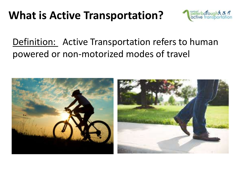#### **What is Active Transportation?**



Definition: Active Transportation refers to human powered or non-motorized modes of travel

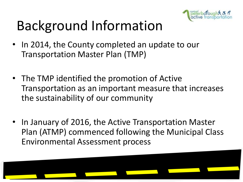

# Background Information

- In 2014, the County completed an update to our Transportation Master Plan (TMP)
- The TMP identified the promotion of Active Transportation as an important measure that increases the sustainability of our community
- In January of 2016, the Active Transportation Master Plan (ATMP) commenced following the Municipal Class Environmental Assessment process

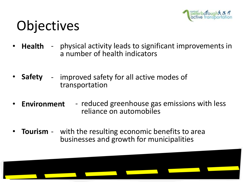

# **Objectives**

- **Health** - physical activity leads to significant improvements in a number of health indicators
- **Safety** improved safety for all active modes of transportation
- **Environment** - reduced greenhouse gas emissions with less reliance on automobiles
- **Tourism** with the resulting economic benefits to area businesses and growth for municipalities

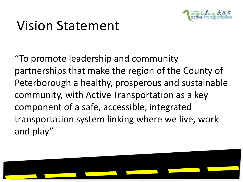

## Vision Statement

"To promote leadership and community partnerships that make the region of the County of Peterborough a healthy, prosperous and sustainable community, with Active Transportation as a key component of a safe, accessible, integrated transportation system linking where we live, work and play"

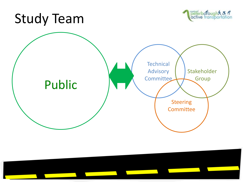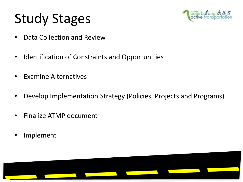# Study Stages



- Data Collection and Review
- Identification of Constraints and Opportunities
- Examine Alternatives
- Develop Implementation Strategy (Policies, Projects and Programs)
- Finalize ATMP document
- Implement

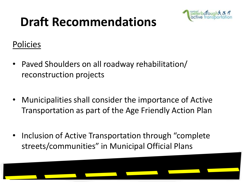### **Draft Recommendations**



#### Policies

- Paved Shoulders on all roadway rehabilitation/ reconstruction projects
- Municipalities shall consider the importance of Active Transportation as part of the Age Friendly Action Plan
- Inclusion of Active Transportation through "complete streets/communities" in Municipal Official Plans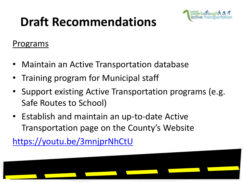## **Draft Recommendations**



#### Programs

- Maintain an Active Transportation database
- Training program for Municipal staff
- Support existing Active Transportation programs (e.g. Safe Routes to School)
- Establish and maintain an up-to-date Active Transportation page on the County's Website

<https://youtu.be/3mnjprNhCtU>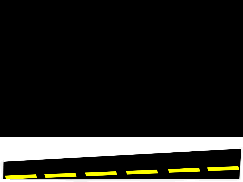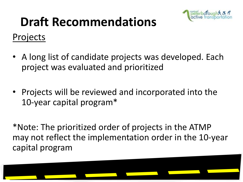

# **Draft Recommendations**

#### Projects

- A long list of candidate projects was developed. Each project was evaluated and prioritized
- Projects will be reviewed and incorporated into the 10-year capital program\*

\*Note: The prioritized order of projects in the ATMP may not reflect the implementation order in the 10-year capital program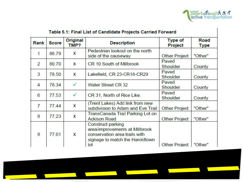

#### Table 5.1: Final List of Candidate Projects Carried Forward

| <b>Rank</b>    | <b>Score</b> | Original<br>TMP? | <b>Description</b>                                                                                                             | <b>Type of</b><br>Project | Road<br><b>Type</b> |
|----------------|--------------|------------------|--------------------------------------------------------------------------------------------------------------------------------|---------------------------|---------------------|
| 1              | 86.79        | X                | Pedestrian lookout on the north<br>side of the causeway                                                                        | <b>Other Project</b>      | "Other"             |
| 2              | 80.70        | X                | CR 10 South of Millbrook                                                                                                       | Paved<br>Shoulder         | County              |
| 3              | 78.50        | X                | Lakefield, CR 23-CR18-CR29                                                                                                     | Paved<br>Shoulder         | County              |
| $\overline{4}$ | 78.34        | √                | Water Street CR 32                                                                                                             | Paved<br>Shoulder         | County              |
| 6              | 77.53        | ✓                | CR 31, North of Rice Like.                                                                                                     | Paved<br>Shoulder         | County              |
| $\overline{7}$ | 77.44        | X                | (Trent Lakes) Add link from new<br>subdivision to Adam and Eve Trail                                                           | <b>Other Project</b>      | "Other"             |
| 8              | 77.23        | Χ                | TransCanada Trail Parking Lot on<br><b>Ackison Road</b>                                                                        | <b>Other Project</b>      | "Other"             |
| $\overline{9}$ | 77.01        | X                | Construct parking<br>area/improvements at Millbrook<br>conservation area trails with<br>signage to match the Haroldtown<br>lot | <b>Other Project</b>      | "Other"             |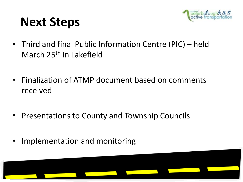

#### **Next Steps**

- Third and final Public Information Centre (PIC) held March 25th in Lakefield
- Finalization of ATMP document based on comments received
- Presentations to County and Township Councils
- Implementation and monitoring